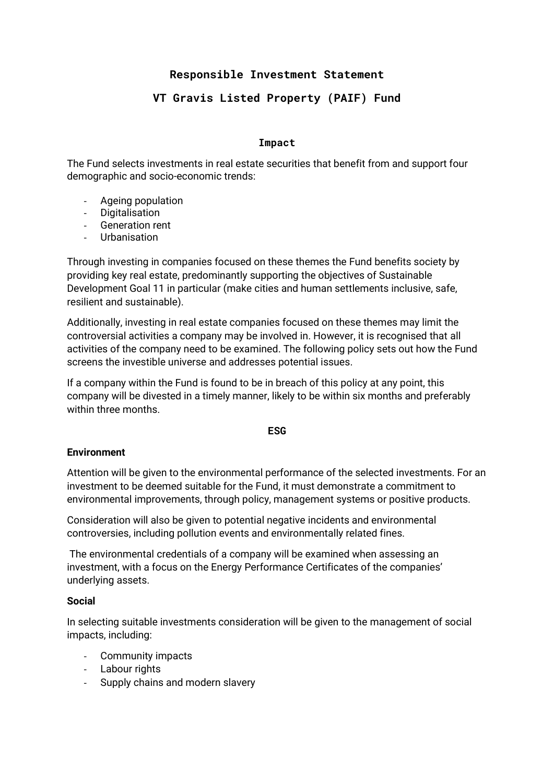# **Responsible Investment Statement**

# **VT Gravis Listed Property (PAIF) Fund**

### **Impact**

The Fund selects investments in real estate securities that benefit from and support four demographic and socio-economic trends:

- Ageing population
- Digitalisation
- Generation rent
- Urbanisation

Through investing in companies focused on these themes the Fund benefits society by providing key real estate, predominantly supporting the objectives of Sustainable Development Goal 11 in particular (make cities and human settlements inclusive, safe, resilient and sustainable).

Additionally, investing in real estate companies focused on these themes may limit the controversial activities a company may be involved in. However, it is recognised that all activities of the company need to be examined. The following policy sets out how the Fund screens the investible universe and addresses potential issues.

If a company within the Fund is found to be in breach of this policy at any point, this company will be divested in a timely manner, likely to be within six months and preferably within three months.

### **ESG**

### **Environment**

Attention will be given to the environmental performance of the selected investments. For an investment to be deemed suitable for the Fund, it must demonstrate a commitment to environmental improvements, through policy, management systems or positive products.

Consideration will also be given to potential negative incidents and environmental controversies, including pollution events and environmentally related fines.

The environmental credentials of a company will be examined when assessing an investment, with a focus on the Energy Performance Certificates of the companies' underlying assets.

### **Social**

In selecting suitable investments consideration will be given to the management of social impacts, including:

- Community impacts
- Labour rights
- Supply chains and modern slavery